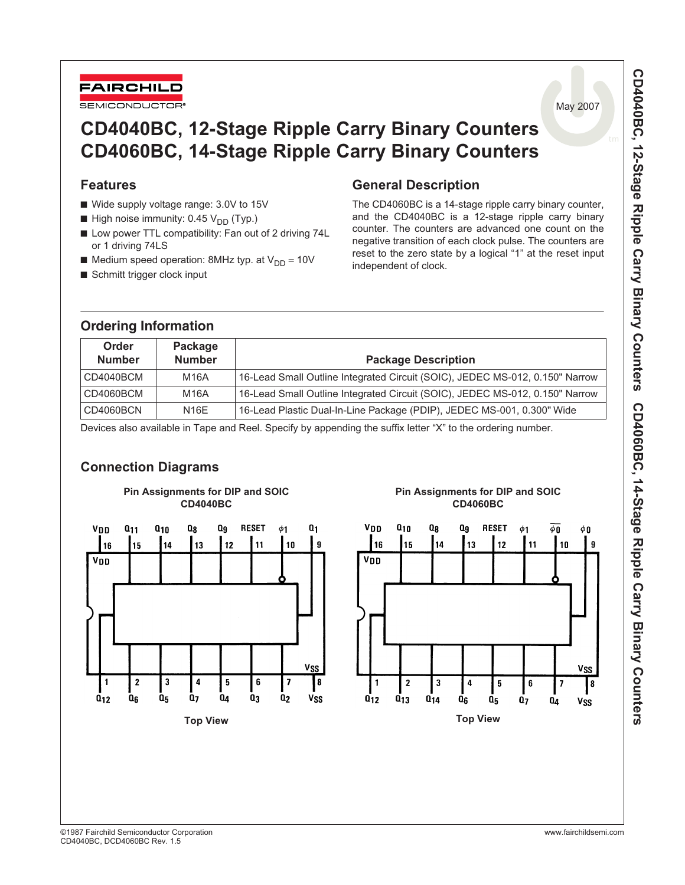

May 2007

# **CD4040BC, 12-Stage Ripple Carry Binary Counters CD4060BC, 14-Stage Ripple Carry Binary Counters**

### **Features**

- Wide supply voltage range: 3.0V to 15V
- **High noise immunity: 0.45**  $V_{DD}$  **(Typ.)**
- Low power TTL compatibility: Fan out of 2 driving 74L or 1 driving 74LS
- **Medium speed operation: 8MHz typ. at**  $V_{DD} = 10V$
- Schmitt trigger clock input

**Ordering Information**

## **General Description**

The CD4060BC is a 14-stage ripple carry binary counter, and the CD4040BC is a 12-stage ripple carry binary counter. The counters are advanced one count on the negative transition of each clock pulse. The counters are reset to the zero state by a logical "1" at the reset input independent of clock.

| Order<br><b>Number</b> | Package<br><b>Number</b> | <b>Package Description</b>                                                   |
|------------------------|--------------------------|------------------------------------------------------------------------------|
| CD4040BCM              | M16A                     | 16-Lead Small Outline Integrated Circuit (SOIC), JEDEC MS-012, 0.150" Narrow |
| CD4060BCM              | M16A                     | 16-Lead Small Outline Integrated Circuit (SOIC), JEDEC MS-012, 0.150" Narrow |
| CD4060BCN              | <b>N16E</b>              | 16-Lead Plastic Dual-In-Line Package (PDIP), JEDEC MS-001, 0.300" Wide       |

Devices also available in Tape and Reel. Specify by appending the suffix letter "X" to the ordering number.

## **Connection Diagrams**



### **Pin Assignments for DIP and SOIC CD4060BC**

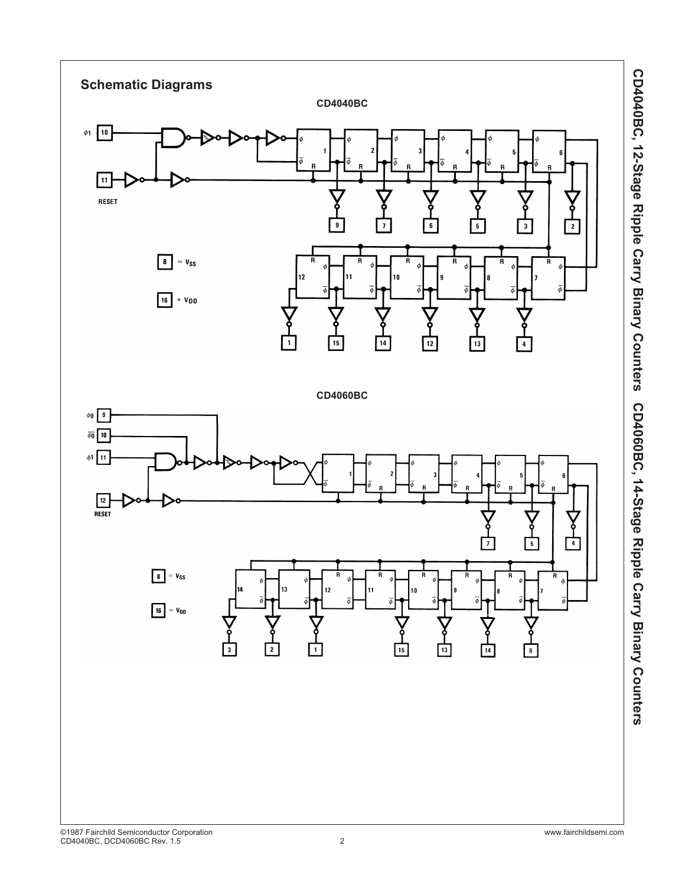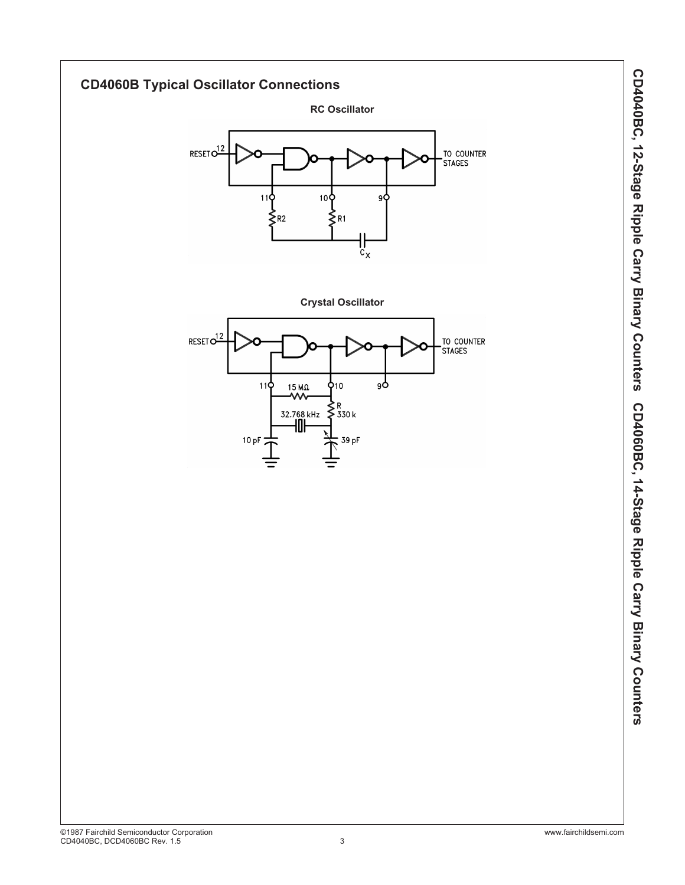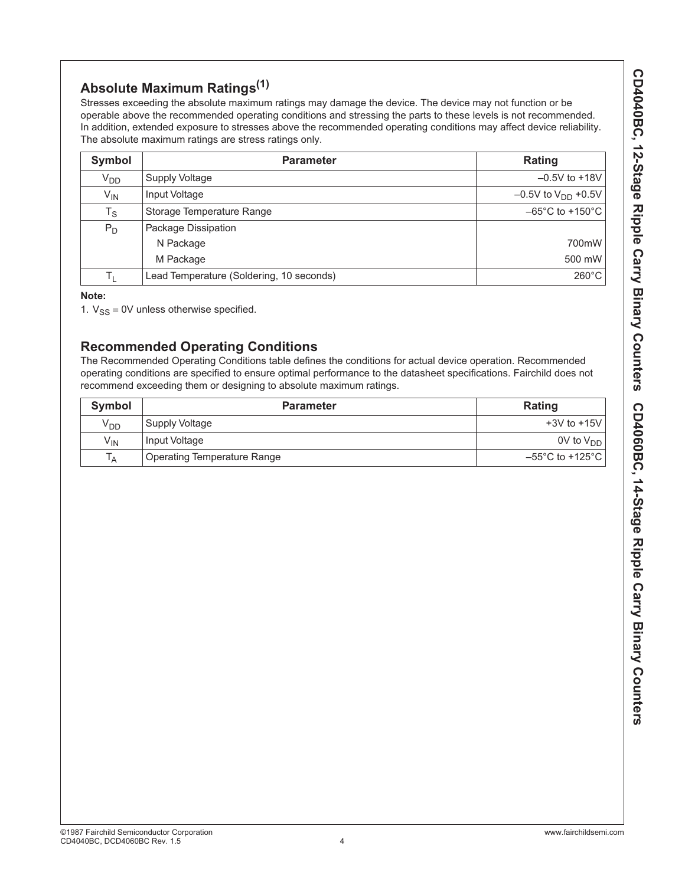# **Absolute Maximum Ratings(1)**

Stresses exceeding the absolute maximum ratings may damage the device. The device may not function or be operable above the recommended operating conditions and stressing the parts to these levels is not recommended. In addition, extended exposure to stresses above the recommended operating conditions may affect device reliability. The absolute maximum ratings are stress ratings only.

| Symbol          | <b>Parameter</b>                         | Rating                               |
|-----------------|------------------------------------------|--------------------------------------|
| V <sub>DD</sub> | <b>Supply Voltage</b>                    | $-0.5V$ to $+18V$                    |
| $V_{IN}$        | Input Voltage                            | $-0.5V$ to $V_{DD}$ +0.5V            |
| $T_S$           | Storage Temperature Range                | $-65^{\circ}$ C to +150 $^{\circ}$ C |
| $P_D$           | Package Dissipation                      |                                      |
|                 | N Package                                | 700mW                                |
|                 | M Package                                | 500 mW                               |
| Tı.             | Lead Temperature (Soldering, 10 seconds) | $260^{\circ}$ C                      |

### **Note:**

1.  $V_{SS} = 0V$  unless otherwise specified.

## **Recommended Operating Conditions**

The Recommended Operating Conditions table defines the conditions for actual device operation. Recommended operating conditions are specified to ensure optimal performance to the datasheet specifications. Fairchild does not recommend exceeding them or designing to absolute maximum ratings.

| Symbol                     | <b>Parameter</b>                   | Rating                                      |
|----------------------------|------------------------------------|---------------------------------------------|
| V <sub>DD</sub>            | Supply Voltage                     | $+3V$ to $+15V$                             |
| $\mathsf{V}_{\mathsf{IN}}$ | Input Voltage                      | 0V to $V_{DD}$                              |
| $T_A$                      | <b>Operating Temperature Range</b> | $-55^{\circ}$ C to +125 $^{\circ}$ C $\mid$ |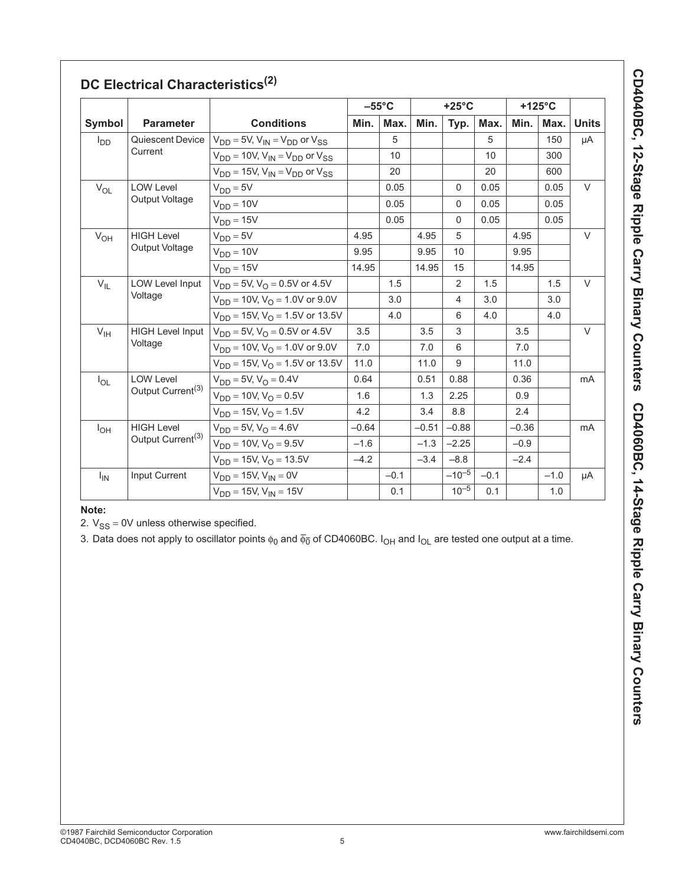|                                               |                                        |                                                 | $-55^{\circ}$ C |        | $+25^{\circ}$ C |            |        | +125°C  |        |              |
|-----------------------------------------------|----------------------------------------|-------------------------------------------------|-----------------|--------|-----------------|------------|--------|---------|--------|--------------|
| Symbol                                        | <b>Parameter</b>                       | <b>Conditions</b>                               | Min.            | Max.   | Min.            | Typ.       | Max.   | Min.    | Max.   | <b>Units</b> |
| $I_{DD}$                                      | Quiescent Device                       | $V_{DD} = 5V$ , $V_{IN} = V_{DD}$ or $V_{SS}$   |                 | 5      |                 |            | 5      |         | 150    | μA           |
|                                               | Current                                | $V_{DD}$ = 10V, $V_{IN}$ = $V_{DD}$ or $V_{SS}$ |                 | 10     |                 |            | 10     |         | 300    |              |
|                                               |                                        | $V_{DD}$ = 15V, $V_{IN}$ = $V_{DD}$ or $V_{SS}$ |                 | 20     |                 |            | 20     |         | 600    |              |
| $V_{OL}$                                      | <b>LOW Level</b>                       | $V_{DD} = 5V$                                   |                 | 0.05   |                 | $\Omega$   | 0.05   |         | 0.05   | $\vee$       |
|                                               | Output Voltage                         | $V_{DD} = 10V$                                  |                 | 0.05   |                 | $\Omega$   | 0.05   |         | 0.05   |              |
|                                               |                                        | $V_{DD} = 15V$                                  |                 | 0.05   |                 | $\Omega$   | 0.05   |         | 0.05   |              |
| $V_{OH}$                                      | <b>HIGH Level</b>                      | $V_{DD} = 5V$                                   | 4.95            |        | 4.95            | 5          |        | 4.95    |        | $\vee$       |
|                                               | Output Voltage                         | $V_{DD} = 10V$                                  | 9.95            |        | 9.95            | 10         |        | 9.95    |        |              |
|                                               |                                        | $V_{DD} = 15V$                                  | 14.95           |        | 14.95           | 15         |        | 14.95   |        |              |
| <b>LOW Level Input</b><br>$V_{IL}$<br>Voltage |                                        | $V_{DD} = 5V$ , $V_{O} = 0.5V$ or 4.5V          |                 | 1.5    |                 | 2          | 1.5    |         | 1.5    | $\vee$       |
|                                               | $V_{DD}$ = 10V, $V_{O}$ = 1.0V or 9.0V |                                                 | 3.0             |        | $\overline{4}$  | 3.0        |        | 3.0     |        |              |
|                                               |                                        | $V_{DD}$ = 15V, V <sub>O</sub> = 1.5V or 13.5V  |                 | 4.0    |                 | 6          | 4.0    |         | 4.0    |              |
| <b>HIGH Level Input</b><br>$V_{\text{IH}}$    | $V_{DD} = 5V$ , $V_{O} = 0.5V$ or 4.5V | 3.5                                             |                 | 3.5    | 3               |            | 3.5    |         | $\vee$ |              |
|                                               | Voltage                                | $V_{DD} = 10V$ , $V_{O} = 1.0V$ or 9.0V         | 7.0             |        | 7.0             | 6          |        | 7.0     |        |              |
|                                               |                                        | $V_{DD} = 15V$ , $V_{O} = 1.5V$ or 13.5V        | 11.0            |        | 11.0            | 9          |        | 11.0    |        |              |
| $I_{OL}$                                      | <b>LOW Level</b>                       | $V_{DD} = 5V$ , $V_{O} = 0.4V$                  | 0.64            |        | 0.51            | 0.88       |        | 0.36    |        | mA           |
| Output Current <sup>(3)</sup>                 |                                        | $V_{DD} = 10V$ , $V_{O} = 0.5V$                 | 1.6             |        | 1.3             | 2.25       |        | 0.9     |        |              |
|                                               |                                        | $V_{DD} = 15V$ , $V_{O} = 1.5V$                 | 4.2             |        | 3.4             | 8.8        |        | 2.4     |        |              |
| $I_{OH}$                                      | <b>HIGH Level</b>                      | $V_{DD} = 5V$ , $V_{O} = 4.6V$                  | $-0.64$         |        | $-0.51$         | $-0.88$    |        | $-0.36$ |        | mA           |
|                                               | Output Current <sup>(3)</sup>          | $V_{DD} = 10V$ , $V_{O} = 9.5V$                 | $-1.6$          |        | $-1.3$          | $-2.25$    |        | $-0.9$  |        |              |
|                                               |                                        | $V_{DD} = 15V$ , $V_{\Omega} = 13.5V$           | $-4.2$          |        | $-3.4$          | $-8.8$     |        | $-2.4$  |        |              |
| $I_{IN}$                                      | Input Current                          | $V_{DD} = 15V$ , $V_{IN} = 0V$                  |                 | $-0.1$ |                 | $-10^{-5}$ | $-0.1$ |         | $-1.0$ | μA           |
|                                               |                                        | $V_{DD} = 15V$ , $V_{IN} = 15V$                 |                 | 0.1    |                 | $10^{-5}$  | 0.1    |         | 1.0    |              |

## **DC Electrical Characteristics(2)**

**Note:**

2.  $V_{SS} = 0V$  unless otherwise specified.

3. Data does not apply to oscillator points  $\phi_0$  and  $\overline{\phi_0}$  of CD4060BC.  $I_{OH}$  and  $I_{OL}$  are tested one output at a time.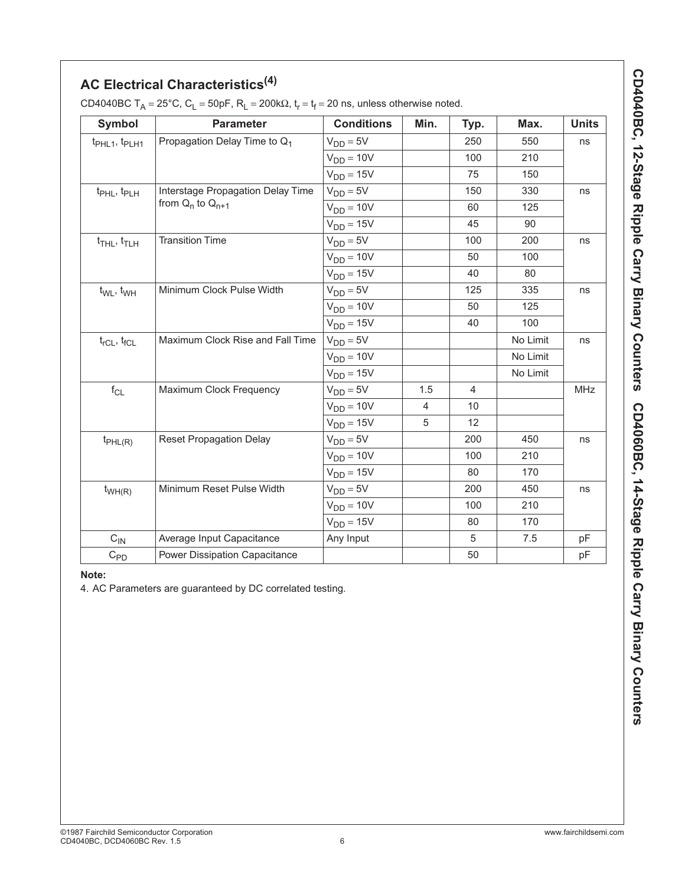# **AC Electrical Characteristics(4)**

| <b>Symbol</b>                           | <b>Parameter</b>                         | <b>Conditions</b> | Min.           | Typ.           | Max.     | <b>Units</b> |
|-----------------------------------------|------------------------------------------|-------------------|----------------|----------------|----------|--------------|
| t <sub>PHL1</sub> , t <sub>PLH1</sub>   | Propagation Delay Time to Q <sub>1</sub> | $V_{DD} = 5V$     |                | 250            | 550      | ns           |
|                                         |                                          | $V_{DD} = 10V$    |                | 100            | 210      |              |
|                                         |                                          | $V_{DD} = 15V$    |                | 75             | 150      |              |
| t <sub>PHL</sub> , t <sub>PLH</sub>     | Interstage Propagation Delay Time        | $V_{DD} = 5V$     |                | 150            | 330      | ns           |
|                                         | from $Q_n$ to $Q_{n+1}$                  | $V_{DD} = 10V$    |                | 60             | 125      |              |
|                                         |                                          | $V_{DD} = 15V$    |                | 45             | 90       |              |
| $t$ <sub>THL</sub> , $t$ <sub>TLH</sub> | <b>Transition Time</b>                   | $V_{DD} = 5V$     |                | 100            | 200      | ns           |
|                                         |                                          | $V_{DD} = 10V$    |                | 50             | 100      |              |
|                                         |                                          | $V_{DD} = 15V$    |                | 40             | 80       |              |
| $t_{WL}$ , $t_{WH}$                     | Minimum Clock Pulse Width                | $V_{DD} = 5V$     |                | 125            | 335      | ns           |
|                                         |                                          | $V_{DD} = 10V$    |                | 50             | 125      |              |
|                                         |                                          | $V_{DD} = 15V$    |                | 40             | 100      |              |
| $t_{rCL}$ , $t_{fCL}$                   | Maximum Clock Rise and Fall Time         | $V_{DD} = 5V$     |                |                | No Limit | ns           |
|                                         |                                          | $V_{DD} = 10V$    |                |                | No Limit |              |
|                                         |                                          | $V_{DD} = 15V$    |                |                | No Limit |              |
| $f_{\rm CL}$                            | Maximum Clock Frequency                  | $V_{DD} = 5V$     | 1.5            | $\overline{4}$ |          | MHz          |
|                                         |                                          | $V_{DD} = 10V$    | $\overline{4}$ | 10             |          |              |
|                                         |                                          | $V_{DD} = 15V$    | 5              | 12             |          |              |
| $t_{PHL(R)}$                            | <b>Reset Propagation Delay</b>           | $V_{DD} = 5V$     |                | 200            | 450      | ns           |
|                                         |                                          | $V_{DD} = 10V$    |                | 100            | 210      |              |
|                                         |                                          | $V_{DD} = 15V$    |                | 80             | 170      |              |
| $t_{WH(R)}$                             | Minimum Reset Pulse Width                | $V_{DD} = 5V$     |                | 200            | 450      | ns           |
|                                         |                                          | $V_{DD} = 10V$    |                | 100            | 210      |              |
|                                         |                                          | $V_{DD} = 15V$    |                | 80             | 170      |              |
| $C_{\text{IN}}$                         | Average Input Capacitance                | Any Input         |                | 5              | 7.5      | pF           |
| $C_{PD}$                                | Power Dissipation Capacitance            |                   |                | 50             |          | pF           |

CD4040BC T<sub>A</sub> = 25°C, C<sub>L</sub> = 50pF, R<sub>L</sub> = 200k $\Omega$ , t<sub>r</sub> = t<sub>f</sub> = 20 ns, unless otherwise noted.

**Note:**

4. AC Parameters are guaranteed by DC correlated testing.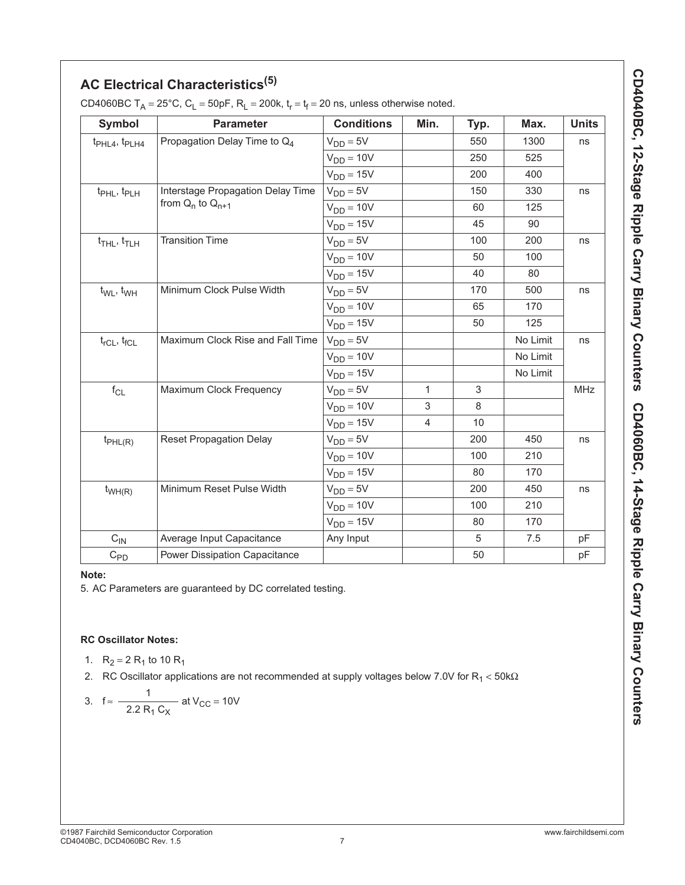| AC Electrical Characteristics <sup>(5)</sup> |
|----------------------------------------------|
|                                              |

| <b>Symbol</b>                           | <b>Parameter</b>                         | <b>Conditions</b> | Min.           | Typ. | Max.     | <b>Units</b> |
|-----------------------------------------|------------------------------------------|-------------------|----------------|------|----------|--------------|
| $t_{PHL4}$ , $t_{PLH4}$                 | Propagation Delay Time to Q <sub>4</sub> | $V_{DD} = 5V$     |                | 550  | 1300     | ns           |
|                                         |                                          | $V_{DD} = 10V$    |                | 250  | 525      |              |
|                                         |                                          | $V_{DD} = 15V$    |                | 200  | 400      |              |
| t <sub>PHL</sub> , t <sub>PLH</sub>     | Interstage Propagation Delay Time        | $V_{DD} = 5V$     |                | 150  | 330      | ns           |
|                                         | from $Q_n$ to $Q_{n+1}$                  | $V_{DD} = 10V$    |                | 60   | 125      |              |
|                                         |                                          | $V_{DD} = 15V$    |                | 45   | 90       |              |
| $t$ <sub>THL</sub> , $t$ <sub>TLH</sub> | <b>Transition Time</b>                   | $V_{DD} = 5V$     |                | 100  | 200      | ns           |
|                                         |                                          | $V_{DD} = 10V$    |                | 50   | 100      |              |
|                                         |                                          | $V_{DD} = 15V$    |                | 40   | 80       |              |
| $t_{WL}$ , $t_{WH}$                     | Minimum Clock Pulse Width                | $V_{DD} = 5V$     |                | 170  | 500      | ns           |
|                                         |                                          | $V_{DD} = 10V$    |                | 65   | 170      |              |
|                                         |                                          | $V_{DD} = 15V$    |                | 50   | 125      |              |
| $t_{rCL}$ , $t_{fCL}$                   | Maximum Clock Rise and Fall Time         | $V_{DD} = 5V$     |                |      | No Limit | ns           |
|                                         |                                          | $V_{DD} = 10V$    |                |      | No Limit |              |
|                                         |                                          | $V_{DD} = 15V$    |                |      | No Limit |              |
| $f_{CL}$                                | Maximum Clock Frequency                  | $V_{DD} = 5V$     | $\mathbf{1}$   | 3    |          | MHz          |
|                                         |                                          | $V_{DD} = 10V$    | 3              | 8    |          |              |
|                                         |                                          | $V_{DD} = 15V$    | $\overline{4}$ | 10   |          |              |
| $t_{PHL(R)}$                            | <b>Reset Propagation Delay</b>           | $V_{DD} = 5V$     |                | 200  | 450      | ns           |
|                                         |                                          | $V_{DD} = 10V$    |                | 100  | 210      |              |
|                                         |                                          | $V_{DD} = 15V$    |                | 80   | 170      |              |
| $t_{WH(R)}$                             | Minimum Reset Pulse Width                | $V_{DD} = 5V$     |                | 200  | 450      | ns           |
|                                         |                                          | $V_{DD} = 10V$    |                | 100  | 210      |              |
|                                         |                                          | $V_{DD} = 15V$    |                | 80   | 170      |              |
| $C_{IN}$                                | Average Input Capacitance                | Any Input         |                | 5    | 7.5      | pF           |
| $C_{PD}$                                | Power Dissipation Capacitance            |                   |                | 50   |          | pF           |

CD4060BC  $T_A = 25^{\circ}$ C, C<sub>L</sub> = 50pF, R<sub>L</sub> = 200k, t<sub>r</sub> = t<sub>f</sub> = 20 ns, unless otherwise noted.

### **Note:**

5. AC Parameters are guaranteed by DC correlated testing.

### **RC Oscillator Notes:**

- 1.  $R_2 = 2 R_1$  to 10  $R_1$
- 2. RC Oscillator applications are not recommended at supply voltages below 7.0V for R<sub>1</sub> < 50k $\Omega$

3. 
$$
f \approx \frac{1}{2.2 R_1 C_X}
$$
 at V<sub>CC</sub> = 10V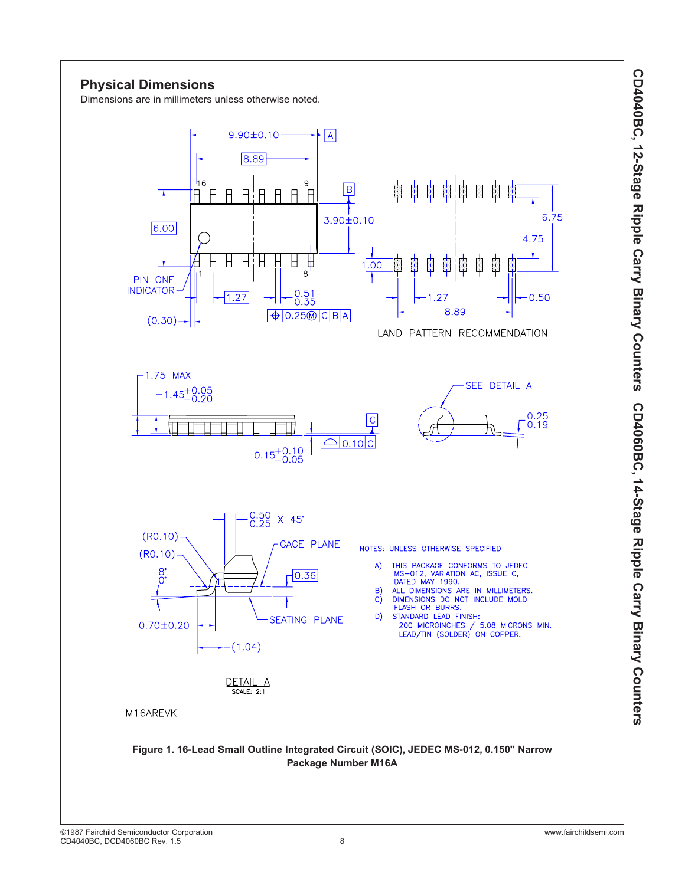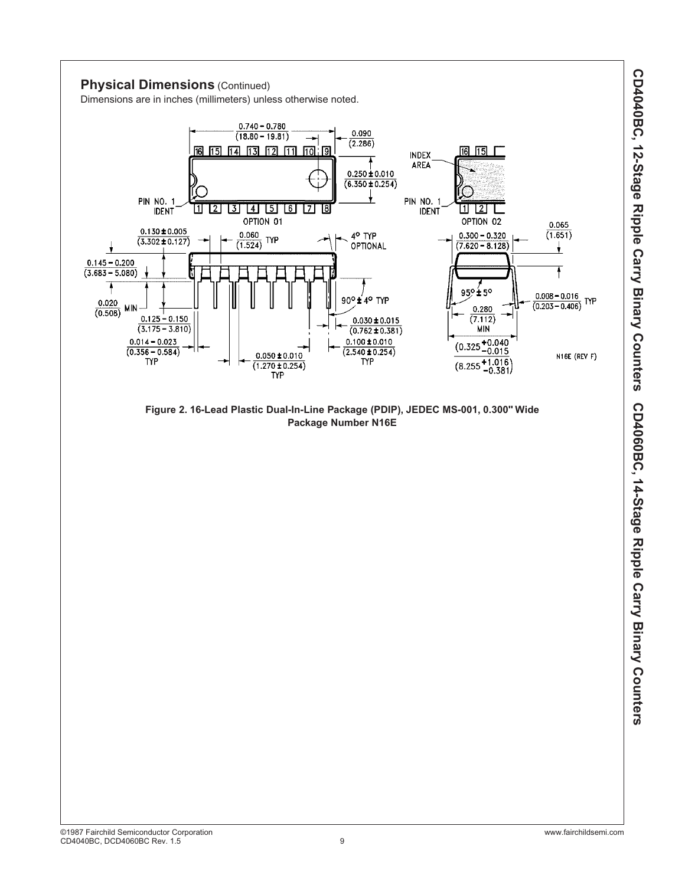